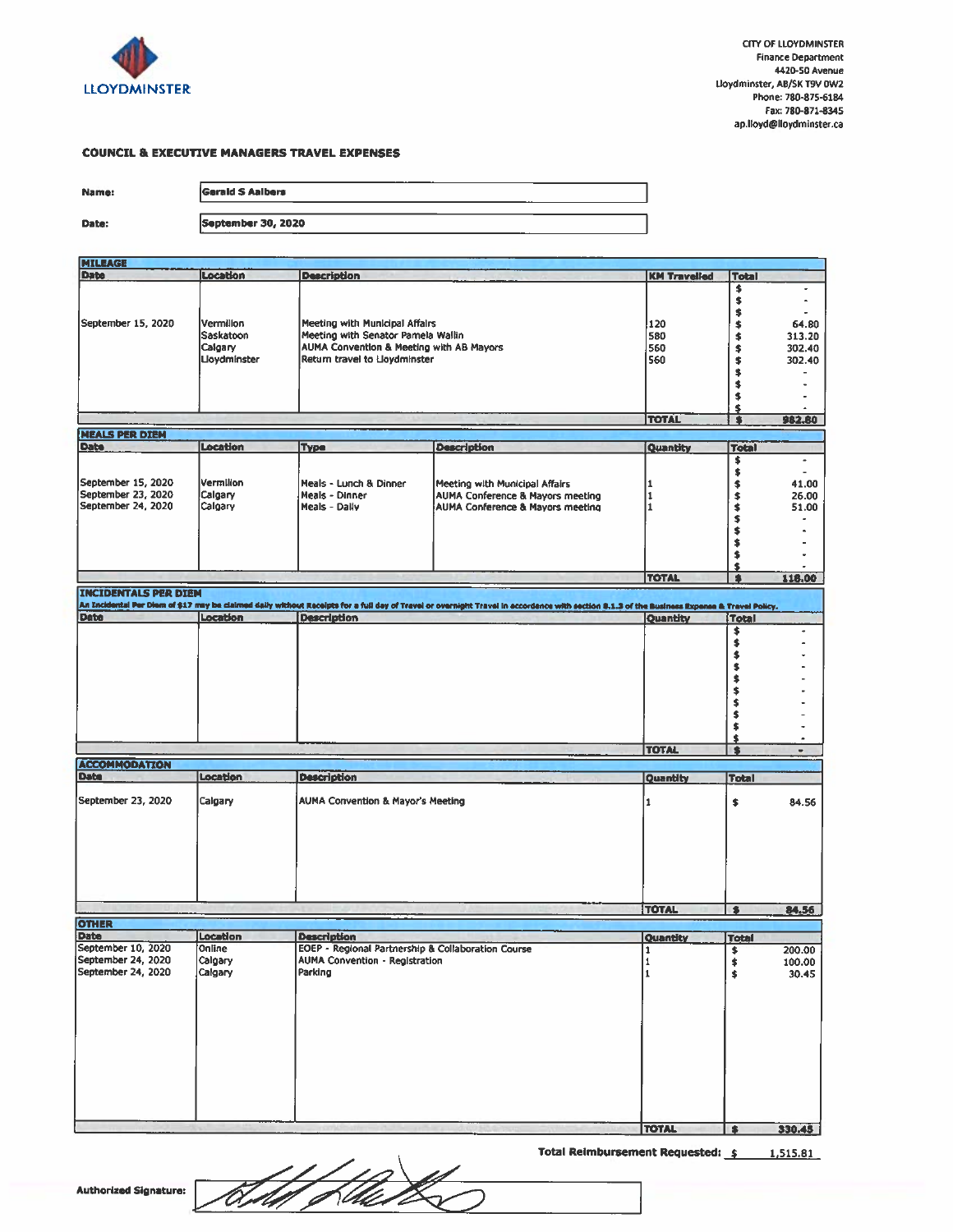

#### **COUNCIL & EXECUTIVE MANAGERS TRAVEL EXPENSES**

Name:

Date:

| Gerald S Aalbers   |  |  |
|--------------------|--|--|
|                    |  |  |
| September 30, 2020 |  |  |

| <b>MILEAGE</b>              |                 |                                                    |                                                                                                                                                                                              |                     |                      |        |
|-----------------------------|-----------------|----------------------------------------------------|----------------------------------------------------------------------------------------------------------------------------------------------------------------------------------------------|---------------------|----------------------|--------|
| <b>Date</b>                 | Location        | <b>Description</b>                                 |                                                                                                                                                                                              | <b>KM Travelled</b> | <b>Total</b>         |        |
|                             |                 |                                                    |                                                                                                                                                                                              |                     | \$                   |        |
|                             |                 |                                                    |                                                                                                                                                                                              |                     | \$                   |        |
|                             |                 |                                                    |                                                                                                                                                                                              |                     | \$                   |        |
| September 15, 2020          | Vermilion       | Meeting with Municipal Affairs                     |                                                                                                                                                                                              |                     |                      |        |
|                             |                 |                                                    |                                                                                                                                                                                              | 120                 | \$                   | 64.80  |
|                             | Saskatoon       | Meeting with Senator Pamela Wallin                 |                                                                                                                                                                                              | 580                 | \$                   | 313.20 |
|                             | Calgary         | AUMA Convention & Meeting with AB Mayors           |                                                                                                                                                                                              | 560                 | \$                   | 302.40 |
|                             | Lloydminster    | Return travel to Lloydminster                      |                                                                                                                                                                                              | 560                 | \$                   | 302.40 |
|                             |                 |                                                    |                                                                                                                                                                                              |                     | \$                   |        |
|                             |                 |                                                    |                                                                                                                                                                                              |                     | \$                   |        |
|                             |                 |                                                    |                                                                                                                                                                                              |                     | \$                   |        |
|                             |                 |                                                    |                                                                                                                                                                                              |                     | \$                   |        |
|                             |                 |                                                    |                                                                                                                                                                                              | <b>TOTAL</b>        | $\overline{\bullet}$ | 982.80 |
|                             |                 |                                                    |                                                                                                                                                                                              |                     |                      |        |
| <b>NEALS PER DIEM</b>       |                 |                                                    |                                                                                                                                                                                              |                     |                      |        |
| <b>Date</b>                 | <b>Location</b> | <b>Type</b>                                        | <b>Description</b>                                                                                                                                                                           | Quantity            | <b>Total</b>         |        |
|                             |                 |                                                    |                                                                                                                                                                                              |                     | \$                   | ٠      |
|                             |                 |                                                    |                                                                                                                                                                                              |                     | \$                   |        |
| September 15, 2020          | Vermilion       | Meals - Lunch & Dinner                             | Meeting with Municipal Affairs                                                                                                                                                               | 1                   | \$                   | 41.00  |
| September 23, 2020          | Calgary         | Meals - Dinner                                     | <b>AUMA Conference &amp; Mayors meeting</b>                                                                                                                                                  | 1                   | \$                   | 26.00  |
| September 24, 2020          | Calgary         | Meals - Daily                                      | AUMA Conference & Mayors meeting                                                                                                                                                             | I1                  | \$                   | 51.00  |
|                             |                 |                                                    |                                                                                                                                                                                              |                     | \$                   |        |
|                             |                 |                                                    |                                                                                                                                                                                              |                     | \$                   |        |
|                             |                 |                                                    |                                                                                                                                                                                              |                     | \$                   |        |
|                             |                 |                                                    |                                                                                                                                                                                              |                     |                      |        |
|                             |                 |                                                    |                                                                                                                                                                                              |                     | \$                   |        |
|                             |                 |                                                    |                                                                                                                                                                                              |                     | \$                   |        |
|                             |                 |                                                    |                                                                                                                                                                                              | <b>TOTAL</b>        | $\bullet$            | 118.00 |
| <b>INCIDENTALS PER DIEM</b> |                 |                                                    |                                                                                                                                                                                              |                     |                      |        |
|                             |                 |                                                    | An Incidental Per Diem of \$17 may be claimed daily without Receipts for a full day of Travel or overnight Travel in accordence with section \$.1.3 of the Business Expense & Travel Policy. |                     |                      |        |
| Date                        | Location        | <b>Description</b>                                 |                                                                                                                                                                                              | Quantity            | <b>Total</b>         |        |
|                             |                 |                                                    |                                                                                                                                                                                              |                     | \$                   |        |
|                             |                 |                                                    |                                                                                                                                                                                              |                     |                      |        |
|                             |                 |                                                    |                                                                                                                                                                                              |                     | \$                   |        |
|                             |                 |                                                    |                                                                                                                                                                                              |                     | \$                   |        |
|                             |                 |                                                    |                                                                                                                                                                                              |                     | \$                   |        |
|                             |                 |                                                    |                                                                                                                                                                                              |                     | \$                   |        |
|                             |                 |                                                    |                                                                                                                                                                                              |                     | \$                   |        |
|                             |                 |                                                    |                                                                                                                                                                                              |                     | \$                   |        |
|                             |                 |                                                    |                                                                                                                                                                                              |                     | \$                   |        |
|                             |                 |                                                    |                                                                                                                                                                                              |                     | \$                   |        |
|                             |                 |                                                    |                                                                                                                                                                                              |                     |                      |        |
|                             |                 |                                                    |                                                                                                                                                                                              | <b>TOTAL</b>        | \$                   |        |
|                             |                 |                                                    |                                                                                                                                                                                              |                     | $\bullet$            | ٠      |
| <b>ACCOMMODATION</b>        |                 |                                                    |                                                                                                                                                                                              |                     |                      |        |
| Date                        | Location        | <b>Description</b>                                 |                                                                                                                                                                                              | Quantity            | <b>Total</b>         |        |
|                             |                 |                                                    |                                                                                                                                                                                              |                     |                      |        |
| September 23, 2020          | Calgary         | AUMA Convention & Mayor's Meeting                  |                                                                                                                                                                                              | $\mathbf{1}$        | \$                   | 84.56  |
|                             |                 |                                                    |                                                                                                                                                                                              |                     |                      |        |
|                             |                 |                                                    |                                                                                                                                                                                              |                     |                      |        |
|                             |                 |                                                    |                                                                                                                                                                                              |                     |                      |        |
|                             |                 |                                                    |                                                                                                                                                                                              |                     |                      |        |
|                             |                 |                                                    |                                                                                                                                                                                              |                     |                      |        |
|                             |                 |                                                    |                                                                                                                                                                                              |                     |                      |        |
|                             |                 |                                                    |                                                                                                                                                                                              |                     |                      |        |
|                             |                 |                                                    |                                                                                                                                                                                              |                     |                      |        |
|                             |                 |                                                    |                                                                                                                                                                                              |                     |                      |        |
|                             |                 |                                                    |                                                                                                                                                                                              | <b>TOTAL</b>        | $\bullet$            | 84.56  |
| <b>OTHER</b>                |                 |                                                    |                                                                                                                                                                                              |                     |                      |        |
|                             |                 |                                                    |                                                                                                                                                                                              |                     |                      |        |
| <b>Date</b>                 | Location        | <b>Description</b>                                 |                                                                                                                                                                                              | Quantity            | <b>Total</b>         |        |
| September 10, 2020          | Online          | EOEP - Regional Partnership & Collaboration Course |                                                                                                                                                                                              | 1                   | \$                   | 200.00 |
| September 24, 2020          | Calgary         | <b>AUMA Convention - Registration</b>              |                                                                                                                                                                                              | 1                   | \$                   | 100.00 |
| September 24, 2020          | Calgary         | Parking                                            |                                                                                                                                                                                              | $\mathbf{1}$        | \$                   | 30.45  |
|                             |                 |                                                    |                                                                                                                                                                                              |                     |                      |        |
|                             |                 |                                                    |                                                                                                                                                                                              |                     |                      |        |
|                             |                 |                                                    |                                                                                                                                                                                              |                     |                      |        |
|                             |                 |                                                    |                                                                                                                                                                                              |                     |                      |        |
|                             |                 |                                                    |                                                                                                                                                                                              |                     |                      |        |
|                             |                 |                                                    |                                                                                                                                                                                              |                     |                      |        |
|                             |                 |                                                    |                                                                                                                                                                                              |                     |                      |        |
|                             |                 |                                                    |                                                                                                                                                                                              |                     |                      |        |
|                             |                 |                                                    |                                                                                                                                                                                              |                     |                      |        |
|                             |                 |                                                    |                                                                                                                                                                                              |                     |                      |        |
|                             |                 |                                                    |                                                                                                                                                                                              |                     |                      |        |
|                             |                 |                                                    |                                                                                                                                                                                              |                     |                      |        |
|                             |                 |                                                    |                                                                                                                                                                                              |                     |                      |        |
|                             |                 |                                                    |                                                                                                                                                                                              |                     |                      |        |

**TOTAL** \$ 330.45 Total Reimbursement Requested:  $\frac{2}{5}$  1,515.81

Filles.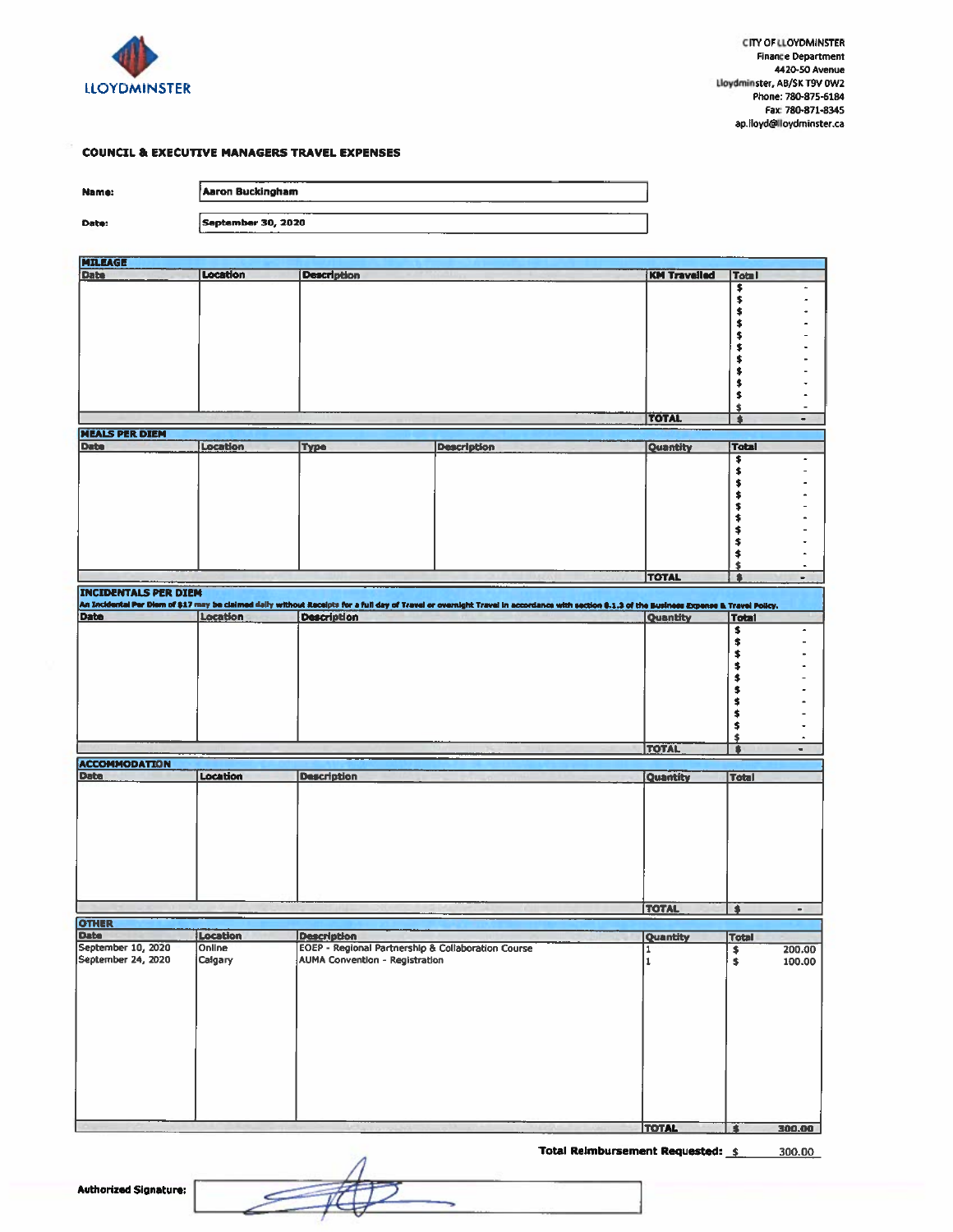

#### **COUNCIL & EXECUTIVE MANAGERS TRAVEL EXPENSES**

 $\overline{r}$ 

Name:

Date:

| Aaron Buckingham<br>---------- |
|--------------------------------|
|                                |
| September 30, 2020             |

| <b>EDITAGE</b>                      |                 |                                                    |                                                                                                                                                                                             |                     |                      |                              |
|-------------------------------------|-----------------|----------------------------------------------------|---------------------------------------------------------------------------------------------------------------------------------------------------------------------------------------------|---------------------|----------------------|------------------------------|
| Date                                | <b>Location</b> | <b>Description</b>                                 |                                                                                                                                                                                             | <b>KM Travelled</b> | <b>Total</b>         |                              |
|                                     |                 |                                                    |                                                                                                                                                                                             |                     |                      |                              |
|                                     |                 |                                                    |                                                                                                                                                                                             |                     | キキキキキキキ              |                              |
|                                     |                 |                                                    |                                                                                                                                                                                             |                     |                      |                              |
|                                     |                 |                                                    |                                                                                                                                                                                             |                     |                      |                              |
|                                     |                 |                                                    |                                                                                                                                                                                             |                     |                      |                              |
|                                     |                 |                                                    |                                                                                                                                                                                             |                     |                      |                              |
|                                     |                 |                                                    |                                                                                                                                                                                             |                     |                      |                              |
|                                     |                 |                                                    |                                                                                                                                                                                             |                     | \$\$                 |                              |
|                                     |                 |                                                    |                                                                                                                                                                                             |                     |                      |                              |
|                                     |                 |                                                    |                                                                                                                                                                                             |                     | \$                   |                              |
|                                     |                 |                                                    |                                                                                                                                                                                             |                     | $\blacklozenge$      |                              |
|                                     |                 |                                                    |                                                                                                                                                                                             | <b>TOTAL</b>        | $\overline{\bullet}$ | ٠                            |
| <b>MEALS PER DIEM</b>               |                 |                                                    |                                                                                                                                                                                             |                     |                      |                              |
| <b>Date</b>                         | Location        | Type                                               | <b>Description</b>                                                                                                                                                                          | Quantity            | Total                |                              |
|                                     |                 |                                                    |                                                                                                                                                                                             |                     | \$                   |                              |
|                                     |                 |                                                    |                                                                                                                                                                                             |                     |                      |                              |
|                                     |                 |                                                    |                                                                                                                                                                                             |                     |                      |                              |
|                                     |                 |                                                    |                                                                                                                                                                                             |                     |                      |                              |
|                                     |                 |                                                    |                                                                                                                                                                                             |                     |                      |                              |
|                                     |                 |                                                    |                                                                                                                                                                                             |                     |                      |                              |
|                                     |                 |                                                    |                                                                                                                                                                                             |                     | キキキキキキキ              |                              |
|                                     |                 |                                                    |                                                                                                                                                                                             |                     |                      |                              |
|                                     |                 |                                                    |                                                                                                                                                                                             |                     | \$                   |                              |
|                                     |                 |                                                    |                                                                                                                                                                                             |                     | \$                   |                              |
|                                     |                 |                                                    |                                                                                                                                                                                             | <b>TOTAL</b>        | $\bullet$            | ٠                            |
| <b>INCIDENTALS PER DIEM</b>         |                 |                                                    |                                                                                                                                                                                             |                     |                      |                              |
|                                     |                 |                                                    | An Incidental Par Diem of \$17 may be claimed daily without Receipts for a full day of Travel or overnight Travel in accordance with section 8.1.3 of the Business Expense & Travel Policy. |                     |                      |                              |
| Date                                | Location        | <b>Description</b>                                 |                                                                                                                                                                                             | Quantity            | <b>Total</b>         |                              |
|                                     |                 |                                                    |                                                                                                                                                                                             |                     | \$                   | $\hat{\phantom{a}}$          |
|                                     |                 |                                                    |                                                                                                                                                                                             |                     |                      |                              |
|                                     |                 |                                                    |                                                                                                                                                                                             |                     | \$                   |                              |
|                                     |                 |                                                    |                                                                                                                                                                                             |                     | \$                   |                              |
|                                     |                 |                                                    |                                                                                                                                                                                             |                     | \$                   |                              |
|                                     |                 |                                                    |                                                                                                                                                                                             |                     | \$                   |                              |
|                                     |                 |                                                    |                                                                                                                                                                                             |                     | \$                   |                              |
|                                     |                 |                                                    |                                                                                                                                                                                             |                     | \$                   |                              |
|                                     |                 |                                                    |                                                                                                                                                                                             |                     | \$                   |                              |
|                                     |                 |                                                    |                                                                                                                                                                                             |                     | \$                   | ٠                            |
|                                     |                 |                                                    |                                                                                                                                                                                             | <b>TOLL</b>         | $\bullet$            | ٠                            |
| <b>ACCOMMODATION</b>                |                 |                                                    |                                                                                                                                                                                             |                     |                      |                              |
| <b>Date</b>                         | Location        | <b>Description</b>                                 |                                                                                                                                                                                             | Quantity            | <b>Total</b>         |                              |
|                                     |                 |                                                    |                                                                                                                                                                                             |                     |                      |                              |
|                                     |                 |                                                    |                                                                                                                                                                                             |                     |                      |                              |
|                                     |                 |                                                    |                                                                                                                                                                                             |                     |                      |                              |
|                                     |                 |                                                    |                                                                                                                                                                                             |                     |                      |                              |
|                                     |                 |                                                    |                                                                                                                                                                                             |                     |                      |                              |
|                                     |                 |                                                    |                                                                                                                                                                                             |                     |                      |                              |
|                                     |                 |                                                    |                                                                                                                                                                                             |                     |                      |                              |
|                                     |                 |                                                    |                                                                                                                                                                                             |                     |                      |                              |
|                                     |                 |                                                    |                                                                                                                                                                                             |                     |                      |                              |
|                                     |                 |                                                    |                                                                                                                                                                                             |                     |                      |                              |
|                                     |                 |                                                    |                                                                                                                                                                                             | TOTAL               | T                    | $\qquad \qquad \blacksquare$ |
|                                     |                 |                                                    |                                                                                                                                                                                             |                     |                      |                              |
|                                     |                 |                                                    |                                                                                                                                                                                             |                     |                      |                              |
| OTHER<br>Date<br>September 10, 2020 | Location        | <b>Description</b>                                 |                                                                                                                                                                                             | Quantity            | <b>Total</b>         |                              |
|                                     | Online          | EOEP - Regional Partnership & Collaboration Course |                                                                                                                                                                                             |                     | $\frac{1}{2}$        | 200.00                       |
| September 24, 2020                  | Calgary         | AUMA Convention - Registration                     |                                                                                                                                                                                             | $\mathbf 1$         |                      | 100.00                       |
|                                     |                 |                                                    |                                                                                                                                                                                             |                     |                      |                              |
|                                     |                 |                                                    |                                                                                                                                                                                             |                     |                      |                              |
|                                     |                 |                                                    |                                                                                                                                                                                             |                     |                      |                              |
|                                     |                 |                                                    |                                                                                                                                                                                             |                     |                      |                              |
|                                     |                 |                                                    |                                                                                                                                                                                             |                     |                      |                              |
|                                     |                 |                                                    |                                                                                                                                                                                             |                     |                      |                              |
|                                     |                 |                                                    |                                                                                                                                                                                             |                     |                      |                              |
|                                     |                 |                                                    |                                                                                                                                                                                             |                     |                      |                              |
|                                     |                 |                                                    |                                                                                                                                                                                             |                     |                      |                              |
|                                     |                 |                                                    |                                                                                                                                                                                             |                     |                      |                              |
|                                     |                 |                                                    |                                                                                                                                                                                             |                     |                      |                              |
|                                     |                 |                                                    |                                                                                                                                                                                             |                     |                      |                              |
|                                     |                 |                                                    |                                                                                                                                                                                             |                     |                      |                              |

**TOTAL** \$ 300.00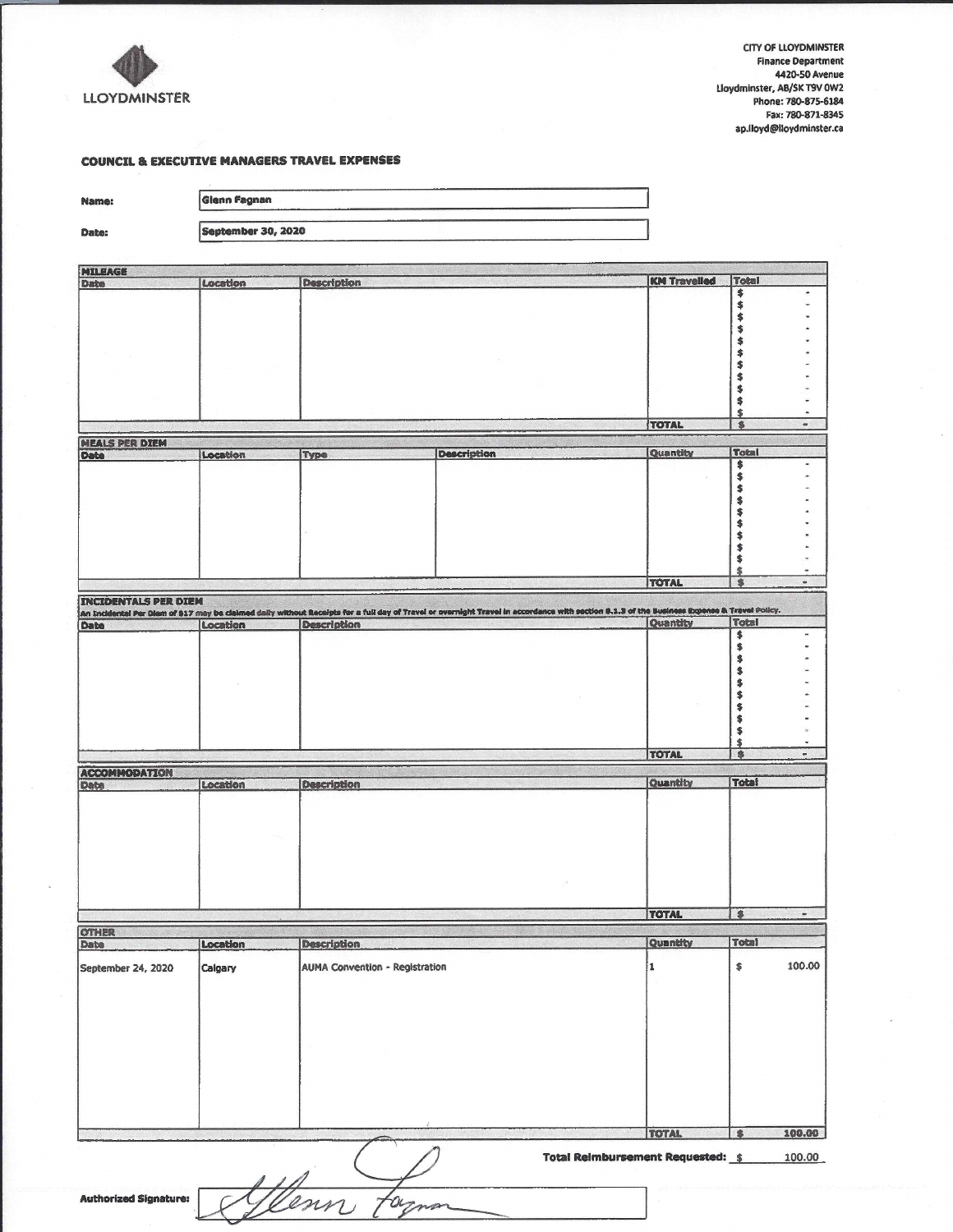

CITY OF LLOYDMINSTER **Finance Department** 4420-50 Avenue Lloydminster, AB/SK T9V 0W2 Phone: 780-875-6184 **Fax: 780-871-8345** ap.lloyd@lloydminster.ca

## **COUNCIL & EXECUTIVE MANAGERS TRAVEL EXPENSES**

| Name:                         | Glenn Fagnan       |                                       |                                                                                                                                                                                             |                     |                                              |                             |
|-------------------------------|--------------------|---------------------------------------|---------------------------------------------------------------------------------------------------------------------------------------------------------------------------------------------|---------------------|----------------------------------------------|-----------------------------|
| Date:                         | September 30, 2020 |                                       |                                                                                                                                                                                             |                     |                                              |                             |
|                               |                    |                                       |                                                                                                                                                                                             |                     |                                              |                             |
| MILEAGE<br><b>Date</b>        | Location           | <b>Description</b>                    |                                                                                                                                                                                             | <b>KM Travelled</b> | Total                                        |                             |
|                               |                    |                                       |                                                                                                                                                                                             |                     | ****                                         | ٠                           |
|                               |                    |                                       |                                                                                                                                                                                             |                     | \$<br>\$<br>\$<br>\$                         |                             |
|                               |                    |                                       |                                                                                                                                                                                             |                     | \$<br>\$<br>\$<br>\$                         | ä                           |
|                               |                    |                                       |                                                                                                                                                                                             | TOTAL               | \$                                           | $\blacksquare$              |
| <b>MEALS PER DIEM</b><br>Date | Location           | Type                                  | <b>Description</b>                                                                                                                                                                          | Quantity            | <b>Total</b>                                 |                             |
|                               |                    |                                       |                                                                                                                                                                                             |                     | \$<br>\$<br>\$\$<br>\$                       | ٠                           |
|                               |                    |                                       |                                                                                                                                                                                             | TOTAL               | \$<br>\$<br>\$<br>$\frac{1}{2}$<br>$\bullet$ | $\ddot{}$<br>$\blacksquare$ |
| <b>INCIDENTALS PER DIEM</b>   |                    |                                       |                                                                                                                                                                                             |                     |                                              |                             |
| Date                          | Location           | <b>Description</b>                    | An Incidental Par Diam of 917 may be claimed daily without Receipts for a full day of Travel or overnight Travel in accordance with section 8.1.3 of the Eucliness Expense & Travel Policy. | Quantity            | Total<br>\$                                  | $\sim$                      |
|                               |                    |                                       |                                                                                                                                                                                             |                     | \$<br>\$<br>\$<br>\$                         |                             |
|                               |                    |                                       |                                                                                                                                                                                             |                     | \$<br>\$<br>\$<br>\$<br>\$                   | ٠                           |
|                               |                    |                                       |                                                                                                                                                                                             | TOTAL               | \$                                           |                             |
| <b>ACCOMMODATION</b><br>Date  | Location           | <b>Description</b>                    |                                                                                                                                                                                             | Quantity            | Total                                        |                             |
|                               |                    |                                       |                                                                                                                                                                                             |                     |                                              |                             |
|                               |                    |                                       |                                                                                                                                                                                             | <b>TOTAL</b>        | $\overline{\bullet}$                         | œ                           |
| OTHER<br>Date                 | Location           | <b>Description</b>                    |                                                                                                                                                                                             | Quantity            | <b>Total</b>                                 |                             |
| September 24, 2020            | Calgary            | <b>AUMA Convention - Registration</b> |                                                                                                                                                                                             | l1                  | \$                                           | 100.00                      |
|                               |                    |                                       |                                                                                                                                                                                             |                     |                                              |                             |
|                               |                    |                                       |                                                                                                                                                                                             | <b>TOTAL</b>        | \$                                           | 100.00                      |
|                               |                    |                                       | Total Reimbursement Requested: \$                                                                                                                                                           |                     |                                              | 100.00                      |
| <b>Authorized Signature:</b>  |                    | enn<br>am                             |                                                                                                                                                                                             |                     |                                              |                             |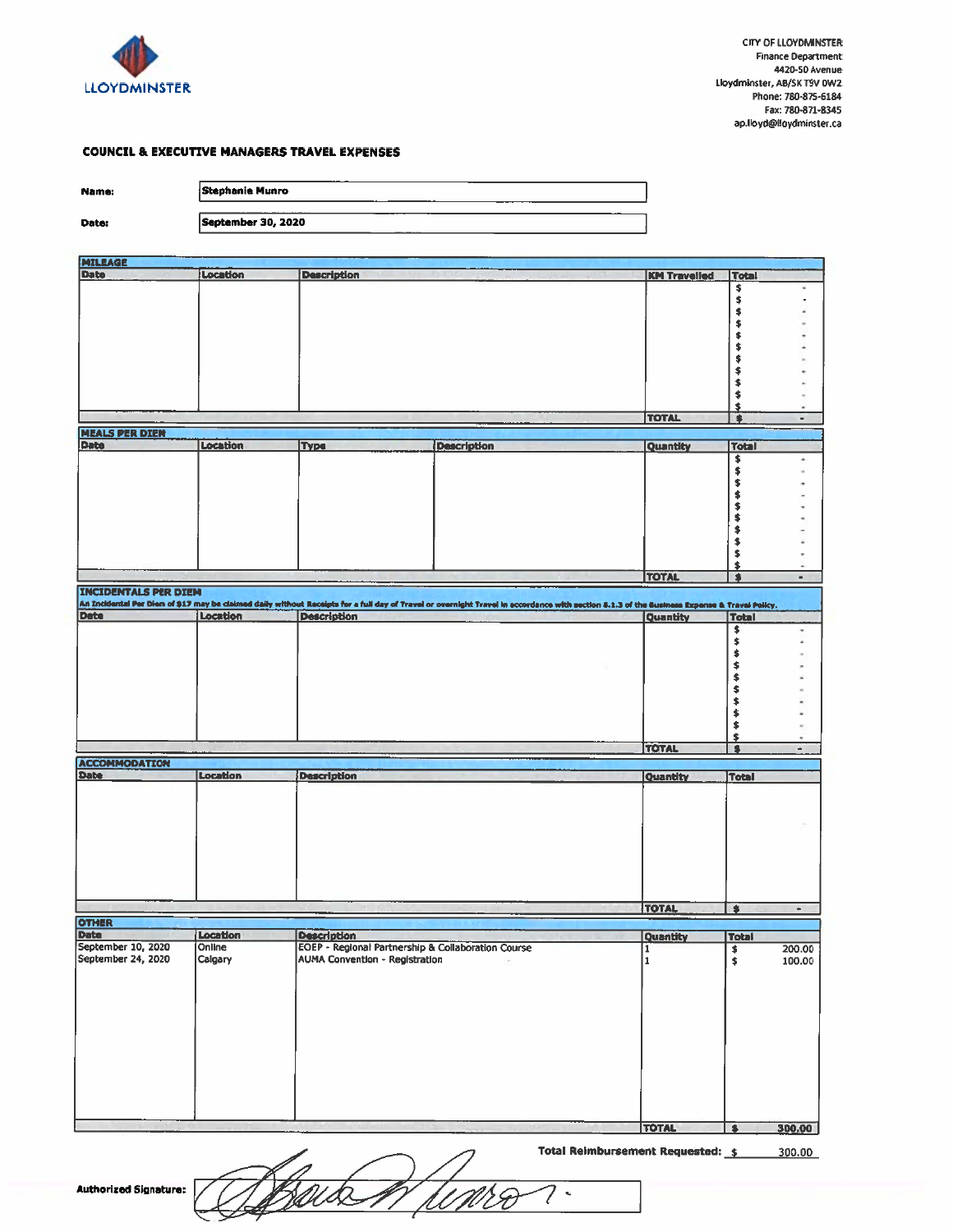

×  $\ddot{\phantom{0}}$ 

 $\ddot{\phantom{0}}$ 

 $-1$  ,  $-1$  ,  $-1$ 

ú,

200.00<br>100.00

#### **COUNCIL & EXECUTIVE MANAGERS TRAVEL EXPENSES**

| Name:                       | <b>Stephanie Munro</b> |                                                    |                                                                                                                                                                                            |                     |               |
|-----------------------------|------------------------|----------------------------------------------------|--------------------------------------------------------------------------------------------------------------------------------------------------------------------------------------------|---------------------|---------------|
|                             |                        |                                                    |                                                                                                                                                                                            |                     |               |
| Date:                       | September 30, 2020     |                                                    |                                                                                                                                                                                            |                     |               |
|                             |                        |                                                    |                                                                                                                                                                                            |                     |               |
| <b>MILEAGE</b>              |                        |                                                    |                                                                                                                                                                                            |                     |               |
| Date                        | Location               | <b>Description</b>                                 |                                                                                                                                                                                            | <b>KM Travelled</b> | <b>Total</b>  |
|                             |                        |                                                    |                                                                                                                                                                                            |                     | \$            |
|                             |                        |                                                    |                                                                                                                                                                                            |                     | \$            |
|                             |                        |                                                    |                                                                                                                                                                                            |                     | \$            |
|                             |                        |                                                    |                                                                                                                                                                                            |                     | \$            |
|                             |                        |                                                    |                                                                                                                                                                                            |                     | \$            |
|                             |                        |                                                    |                                                                                                                                                                                            |                     | \$            |
|                             |                        |                                                    |                                                                                                                                                                                            |                     | \$            |
|                             |                        |                                                    |                                                                                                                                                                                            |                     | \$            |
|                             |                        |                                                    |                                                                                                                                                                                            |                     | \$            |
|                             |                        |                                                    |                                                                                                                                                                                            |                     | \$            |
|                             |                        |                                                    |                                                                                                                                                                                            |                     | \$            |
|                             |                        |                                                    |                                                                                                                                                                                            | <b>TOTAL</b>        | 8             |
| <b>MEALS PER DIEM</b>       |                        |                                                    |                                                                                                                                                                                            |                     |               |
| <b>Date</b>                 | Location               | <b>Type</b>                                        | <b>Description</b>                                                                                                                                                                         | Quantity            | <b>Total</b>  |
|                             |                        |                                                    |                                                                                                                                                                                            |                     | \$            |
|                             |                        |                                                    |                                                                                                                                                                                            |                     | \$            |
|                             |                        |                                                    |                                                                                                                                                                                            |                     | \$            |
|                             |                        |                                                    |                                                                                                                                                                                            |                     | \$            |
|                             |                        |                                                    |                                                                                                                                                                                            |                     | \$            |
|                             |                        |                                                    |                                                                                                                                                                                            |                     | \$            |
|                             |                        |                                                    |                                                                                                                                                                                            |                     | \$            |
|                             |                        |                                                    |                                                                                                                                                                                            |                     | \$            |
|                             |                        |                                                    |                                                                                                                                                                                            |                     | \$            |
|                             |                        |                                                    |                                                                                                                                                                                            |                     | \$            |
|                             |                        |                                                    |                                                                                                                                                                                            | <b>TOTAL</b>        | \$            |
| <b>INCIDENTALS PER DIEM</b> |                        |                                                    |                                                                                                                                                                                            |                     |               |
|                             |                        |                                                    | An Incidental Per Diem of \$17 may be claimed daily without Receipts for a full day of Travel or overnight Travel in accordance with section 8.1.3 of the Business Expense & Travel Policy |                     |               |
| Date                        | <b>Location</b>        | <b>Description</b>                                 |                                                                                                                                                                                            | Quantity            | <b>Total</b>  |
|                             |                        |                                                    |                                                                                                                                                                                            |                     | \$            |
|                             |                        |                                                    |                                                                                                                                                                                            |                     | \$            |
|                             |                        |                                                    |                                                                                                                                                                                            |                     | \$            |
|                             |                        |                                                    |                                                                                                                                                                                            |                     | \$            |
|                             |                        |                                                    |                                                                                                                                                                                            |                     | \$            |
|                             |                        |                                                    |                                                                                                                                                                                            |                     | \$            |
|                             |                        |                                                    |                                                                                                                                                                                            |                     |               |
|                             |                        |                                                    |                                                                                                                                                                                            |                     | \$            |
|                             |                        |                                                    |                                                                                                                                                                                            |                     | \$            |
|                             |                        |                                                    |                                                                                                                                                                                            |                     | \$            |
|                             |                        |                                                    |                                                                                                                                                                                            |                     | \$            |
|                             |                        |                                                    |                                                                                                                                                                                            | <b>TOTAL</b>        | $\bullet$     |
|                             |                        |                                                    |                                                                                                                                                                                            |                     |               |
| <b>ACCOMMODATION</b>        |                        |                                                    |                                                                                                                                                                                            |                     |               |
| <b>Date</b>                 | <b>Location</b>        | <b>Description</b>                                 |                                                                                                                                                                                            | Quantity            | <b>Total</b>  |
|                             |                        |                                                    |                                                                                                                                                                                            |                     |               |
|                             |                        |                                                    |                                                                                                                                                                                            |                     |               |
|                             |                        |                                                    |                                                                                                                                                                                            |                     |               |
|                             |                        |                                                    |                                                                                                                                                                                            |                     |               |
|                             |                        |                                                    |                                                                                                                                                                                            |                     |               |
|                             |                        |                                                    |                                                                                                                                                                                            |                     |               |
|                             |                        |                                                    |                                                                                                                                                                                            |                     |               |
|                             |                        |                                                    |                                                                                                                                                                                            |                     |               |
|                             |                        |                                                    |                                                                                                                                                                                            |                     |               |
|                             |                        |                                                    |                                                                                                                                                                                            |                     |               |
|                             |                        |                                                    |                                                                                                                                                                                            | <b>TOTAL</b>        | $\bullet$     |
| <b>OTHER</b>                |                        |                                                    |                                                                                                                                                                                            |                     |               |
| <b>Date</b>                 | Location               | <b>Description</b>                                 |                                                                                                                                                                                            | Quantity            | <b>Total</b>  |
| September 10, 2020          | Online                 | EOEP - Regional Partnership & Collaboration Course |                                                                                                                                                                                            | T                   |               |
| September 24, 2020          | Calgary                | <b>AUMA Convention - Registration</b>              |                                                                                                                                                                                            | $\mathbf{1}$        | $\frac{1}{2}$ |
|                             |                        |                                                    |                                                                                                                                                                                            |                     |               |
|                             |                        |                                                    |                                                                                                                                                                                            |                     |               |
|                             |                        |                                                    |                                                                                                                                                                                            |                     |               |
|                             |                        |                                                    |                                                                                                                                                                                            |                     |               |
|                             |                        |                                                    |                                                                                                                                                                                            |                     |               |
|                             |                        |                                                    |                                                                                                                                                                                            |                     |               |
|                             |                        |                                                    |                                                                                                                                                                                            |                     |               |
|                             |                        |                                                    |                                                                                                                                                                                            |                     |               |
|                             |                        |                                                    |                                                                                                                                                                                            |                     |               |

**TOTAL** 300.00 顶 Total Reimbursement Requested: 5 300.00

 $\overline{\mathcal{C}}$  $\hat{\mathbf{v}}$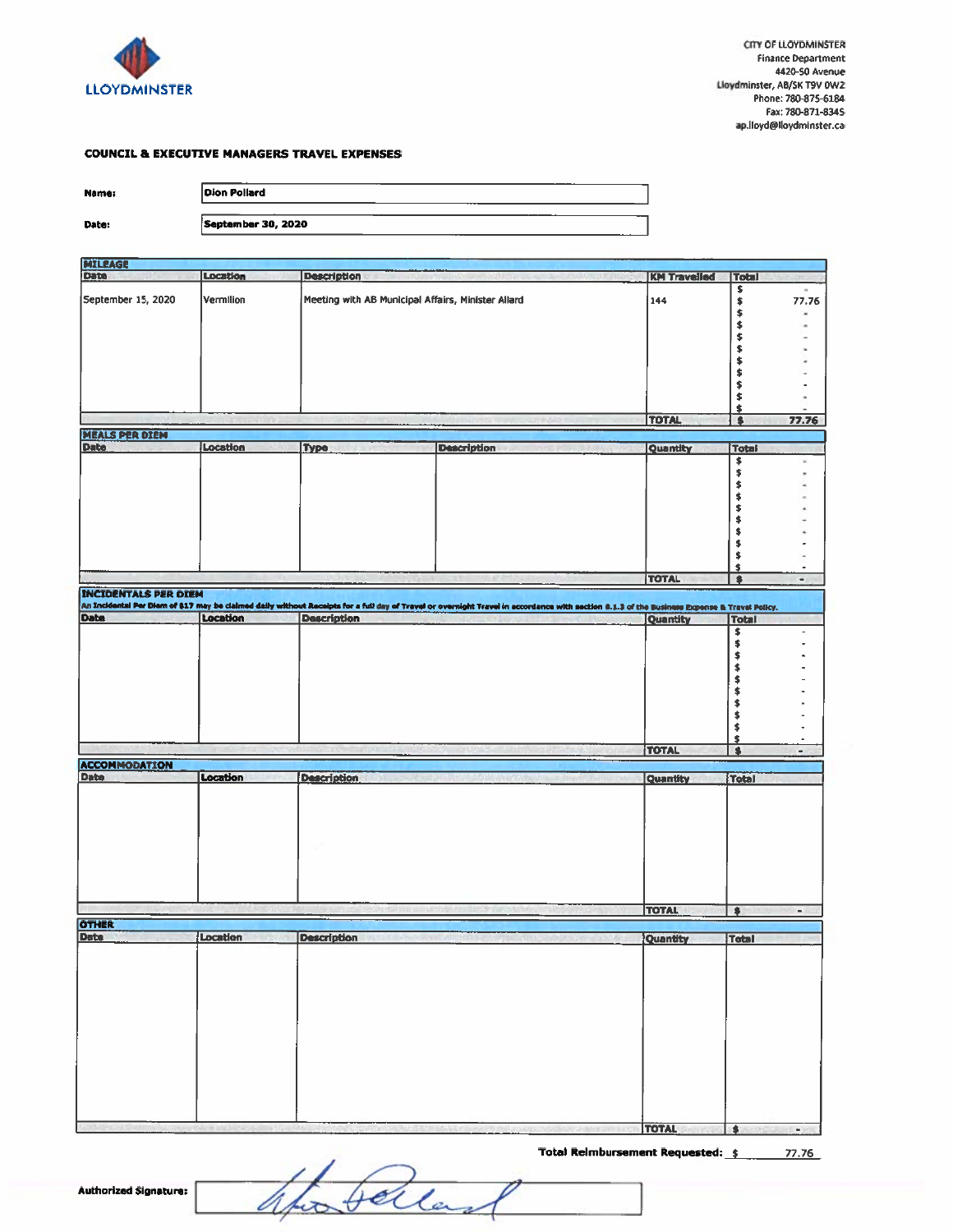

77.76 ٠ i. . j, i, ÷, ×

KM Travelled Total

144

キキキキキキキキキキ

\$

### **COUNCIL & EXECUTIVE MANAGERS TRAVEL EXPENSES**

Name:

Date:

| Dion Pollard              |  |
|---------------------------|--|
|                           |  |
| <b>September 30, 2020</b> |  |

# MILEAGE<br>Date Location Description September 15, 2020 Vermilion Meeting with AB Municipal Affairs, Minister Allard

| <b>MEALS PER DIEM</b>       |          |                    |                                                                                                                                                                                             |              |       |  |
|-----------------------------|----------|--------------------|---------------------------------------------------------------------------------------------------------------------------------------------------------------------------------------------|--------------|-------|--|
| <b>Date</b>                 | Location | Type               | <b>Description</b>                                                                                                                                                                          | Quantity     | Total |  |
|                             |          |                    |                                                                                                                                                                                             |              |       |  |
|                             |          |                    |                                                                                                                                                                                             |              |       |  |
|                             |          |                    |                                                                                                                                                                                             |              |       |  |
|                             |          |                    |                                                                                                                                                                                             |              |       |  |
|                             |          |                    |                                                                                                                                                                                             |              |       |  |
|                             |          |                    |                                                                                                                                                                                             |              |       |  |
|                             |          |                    |                                                                                                                                                                                             |              |       |  |
|                             |          |                    |                                                                                                                                                                                             |              |       |  |
|                             |          |                    |                                                                                                                                                                                             |              |       |  |
|                             |          |                    |                                                                                                                                                                                             |              |       |  |
|                             |          |                    |                                                                                                                                                                                             | <b>TOTAL</b> | ₫     |  |
| <b>INCIDENTALS PER DIEM</b> |          |                    |                                                                                                                                                                                             |              |       |  |
|                             |          |                    | An Incidental Per Diem of \$17 may be claimed daily without Receipts for a full day of Travel or overnight Travel in accordance with section 8.1.3 of the Business Expense & Travel Policy. |              |       |  |
| <b>Date</b>                 | Location | <b>Description</b> |                                                                                                                                                                                             | Quantity     | Total |  |
|                             |          |                    |                                                                                                                                                                                             |              | \$    |  |
|                             |          |                    |                                                                                                                                                                                             |              |       |  |
|                             |          |                    |                                                                                                                                                                                             |              |       |  |
|                             |          |                    |                                                                                                                                                                                             |              |       |  |
|                             |          |                    |                                                                                                                                                                                             |              |       |  |
|                             |          |                    |                                                                                                                                                                                             |              |       |  |
|                             |          |                    |                                                                                                                                                                                             |              |       |  |
|                             |          |                    |                                                                                                                                                                                             |              |       |  |
|                             |          |                    |                                                                                                                                                                                             | <b>TOTAL</b> |       |  |

## **ACCOMMODATION** Location Description Date Quantity Total **TOTAL**  $\overline{1}$ **OTHER** Location Date Description Quantity Total

**TOTAL**  $\overline{\bullet}$ 

Total Reimbursement Requested: \$  $77.76$ 

 $\omega$